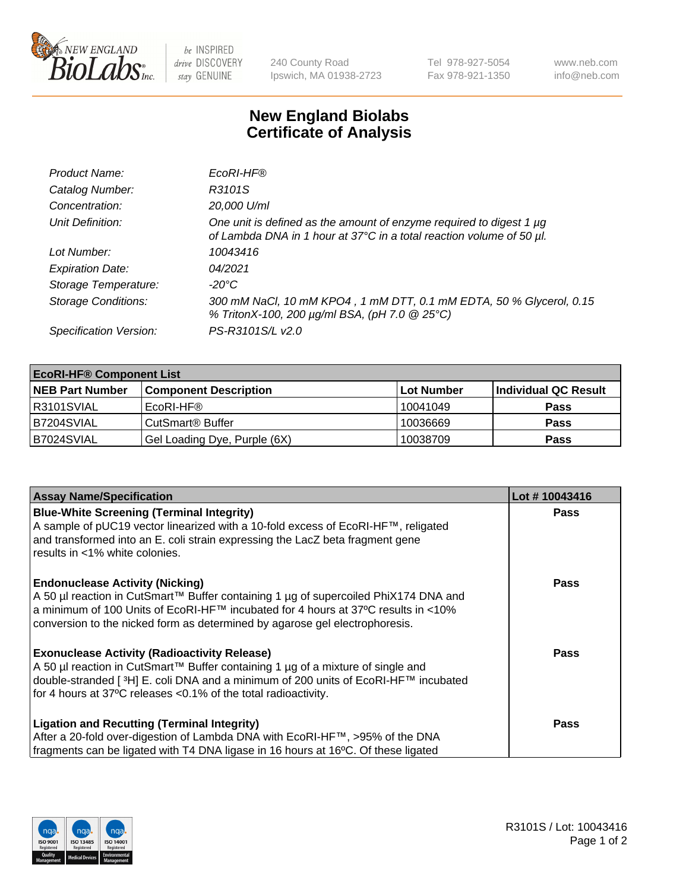

 $be$  INSPIRED drive DISCOVERY stay GENUINE

240 County Road Ipswich, MA 01938-2723 Tel 978-927-5054 Fax 978-921-1350 www.neb.com info@neb.com

## **New England Biolabs Certificate of Analysis**

| Product Name:              | EcoRI-HF®                                                                                                                                   |
|----------------------------|---------------------------------------------------------------------------------------------------------------------------------------------|
| Catalog Number:            | R3101S                                                                                                                                      |
| Concentration:             | 20,000 U/ml                                                                                                                                 |
| Unit Definition:           | One unit is defined as the amount of enzyme required to digest 1 µg<br>of Lambda DNA in 1 hour at 37°C in a total reaction volume of 50 µl. |
| Lot Number:                | 10043416                                                                                                                                    |
| <b>Expiration Date:</b>    | 04/2021                                                                                                                                     |
| Storage Temperature:       | -20°C                                                                                                                                       |
| <b>Storage Conditions:</b> | 300 mM NaCl, 10 mM KPO4, 1 mM DTT, 0.1 mM EDTA, 50 % Glycerol, 0.15<br>% TritonX-100, 200 µg/ml BSA, (pH 7.0 @ 25°C)                        |
| Specification Version:     | PS-R3101S/L v2.0                                                                                                                            |

| <b>EcoRI-HF® Component List</b> |                              |            |                      |  |  |
|---------------------------------|------------------------------|------------|----------------------|--|--|
| <b>NEB Part Number</b>          | <b>Component Description</b> | Lot Number | Individual QC Result |  |  |
| IR3101SVIAL                     | EcoRI-HF®                    | 10041049   | <b>Pass</b>          |  |  |
| B7204SVIAL                      | CutSmart <sup>®</sup> Buffer | 10036669   | <b>Pass</b>          |  |  |
| B7024SVIAL                      | Gel Loading Dye, Purple (6X) | 10038709   | <b>Pass</b>          |  |  |

| <b>Assay Name/Specification</b>                                                                                                                                                                                                                                                                               | Lot #10043416 |
|---------------------------------------------------------------------------------------------------------------------------------------------------------------------------------------------------------------------------------------------------------------------------------------------------------------|---------------|
| <b>Blue-White Screening (Terminal Integrity)</b><br>A sample of pUC19 vector linearized with a 10-fold excess of EcoRI-HF™, religated<br>and transformed into an E. coli strain expressing the LacZ beta fragment gene                                                                                        | <b>Pass</b>   |
| results in <1% white colonies.                                                                                                                                                                                                                                                                                |               |
| <b>Endonuclease Activity (Nicking)</b><br>  A 50 µl reaction in CutSmart™ Buffer containing 1 µg of supercoiled PhiX174 DNA and<br>  a minimum of 100 Units of EcoRI-HF™ incubated for 4 hours at 37°C results in <10%<br>conversion to the nicked form as determined by agarose gel electrophoresis.         | <b>Pass</b>   |
| <b>Exonuclease Activity (Radioactivity Release)</b><br>  A 50 µl reaction in CutSmart™ Buffer containing 1 µg of a mixture of single and<br>double-stranded [ <sup>3</sup> H] E. coli DNA and a minimum of 200 units of EcoRI-HF™ incubated<br>for 4 hours at 37°C releases <0.1% of the total radioactivity. | Pass          |
| <b>Ligation and Recutting (Terminal Integrity)</b>                                                                                                                                                                                                                                                            | <b>Pass</b>   |
| After a 20-fold over-digestion of Lambda DNA with EcoRI-HF™, >95% of the DNA<br>fragments can be ligated with T4 DNA ligase in 16 hours at 16°C. Of these ligated                                                                                                                                             |               |